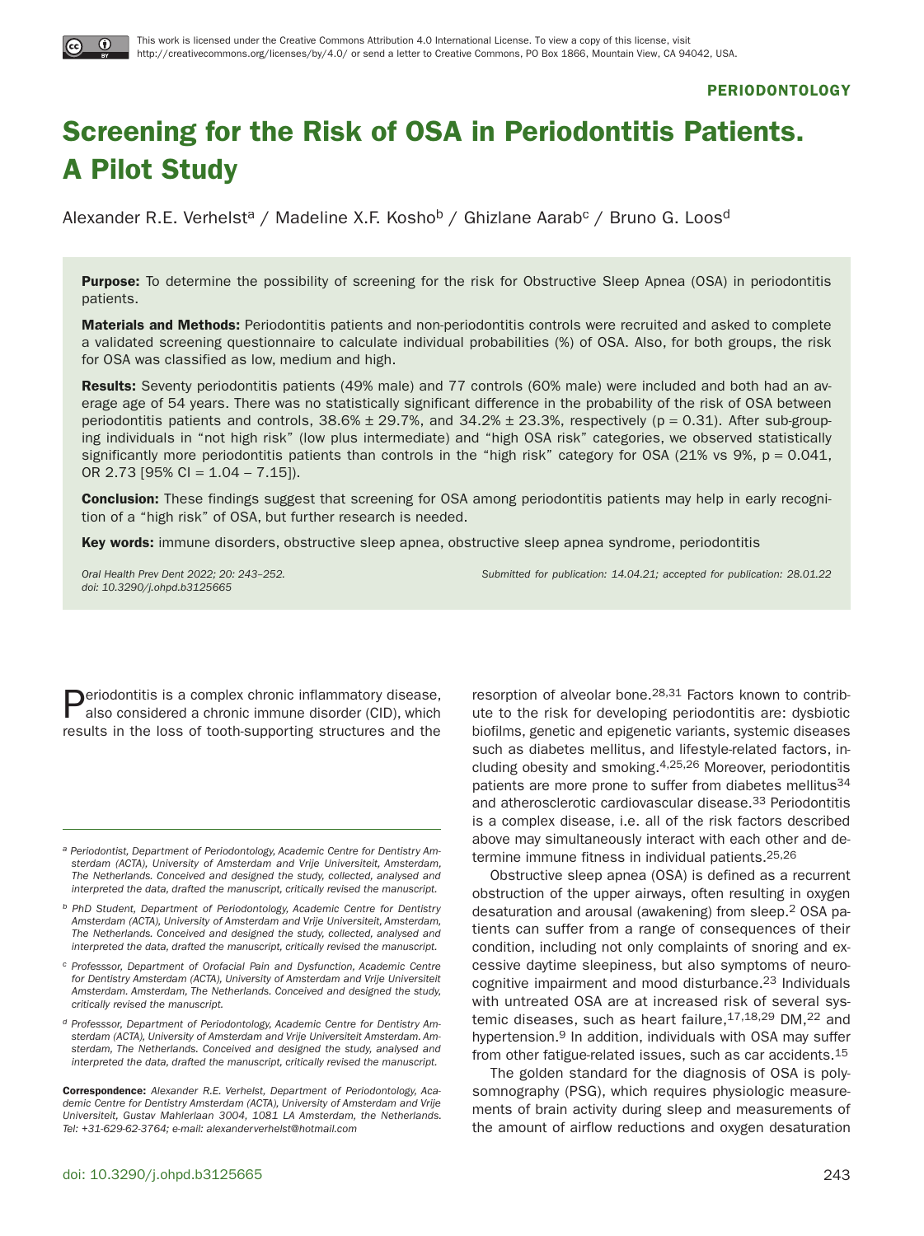

# **Screening for the Risk of OSA in Periodontitis Patients. A Pilot Study**

Alexander R.E. Verhelst<sup>a</sup> / Madeline X.F. Kosho<sup>b</sup> / Ghizlane Aarab<sup>c</sup> / Bruno G. Loos<sup>d</sup>

**Purpose:** To determine the possibility of screening for the risk for Obstructive Sleep Apnea (OSA) in periodontitis patients.

**Materials and Methods:** Periodontitis patients and non-periodontitis controls were recruited and asked to complete a validated screening questionnaire to calculate individual probabilities (%) of OSA. Also, for both groups, the risk for OSA was classified as low, medium and high.

**Results:** Seventy periodontitis patients (49% male) and 77 controls (60% male) were included and both had an average age of 54 years. There was no statistically significant difference in the probability of the risk of OSA between periodontitis patients and controls,  $38.6\% \pm 29.7\%$ , and  $34.2\% \pm 23.3\%$ , respectively (p = 0.31). After sub-grouping individuals in "not high risk" (low plus intermediate) and "high OSA risk" categories, we observed statistically significantly more periodontitis patients than controls in the "high risk" category for OSA (21% vs 9%,  $p = 0.041$ , OR 2.73 [95% CI = 1.04 – 7.15]).

**Conclusion:** These findings suggest that screening for OSA among periodontitis patients may help in early recognition of a "high risk" of OSA, but further research is needed.

**Key words:** immune disorders, obstructive sleep apnea, obstructive sleep apnea syndrome, periodontitis

doi: 10.3290/j.ohpd.b3125665

```
Oral Health Prev Dent 2022; 20: 243–252. Submitted for publication: 14.04.21; accepted for publication: 28.01.22
```
Periodontitis is a complex chronic inflammatory disease, also considered a chronic immune disorder (CID), which results in the loss of tooth-supporting structures and the

**Correspondence:** Alexander R.E. Verhelst, Department of Periodontology, Academic Centre for Dentistry Amsterdam (ACTA), University of Amsterdam and Vrije Universiteit, Gustav Mahlerlaan 3004, 1081 LA Amsterdam, the Netherlands. Tel: +31-629-62-3764; e-mail: alexanderverhelst@hotmail.com

doi: 10.3290/j.ohpd.b3125665 243

resorption of alveolar bone.28,31 Factors known to contribute to the risk for developing periodontitis are: dysbiotic biofilms, genetic and epigenetic variants, systemic diseases such as diabetes mellitus, and lifestyle-related factors, including obesity and smoking.4,25,26 Moreover, periodontitis patients are more prone to suffer from diabetes mellitus<sup>34</sup> and atherosclerotic cardiovascular disease.33 Periodontitis is a complex disease, i.e. all of the risk factors described above may simultaneously interact with each other and determine immune fitness in individual patients.25,26

Obstructive sleep apnea (OSA) is defined as a recurrent obstruction of the upper airways, often resulting in oxygen desaturation and arousal (awakening) from sleep.2 OSA patients can suffer from a range of consequences of their condition, including not only complaints of snoring and excessive daytime sleepiness, but also symptoms of neurocognitive impairment and mood disturbance.23 Individuals with untreated OSA are at increased risk of several systemic diseases, such as heart failure,  $17,18,29$  DM,  $22$  and hypertension.<sup>9</sup> In addition, individuals with OSA may suffer from other fatigue-related issues, such as car accidents.15

The golden standard for the diagnosis of OSA is polysomnography (PSG), which requires physiologic measurements of brain activity during sleep and measurements of the amount of airflow reductions and oxygen desaturation

a Periodontist, Department of Periodontology, Academic Centre for Dentistry Amsterdam (ACTA), University of Amsterdam and Vrije Universiteit, Amsterdam, The Netherlands. Conceived and designed the study, collected, analysed and interpreted the data, drafted the manuscript, critically revised the manuscript.

b PhD Student, Department of Periodontology, Academic Centre for Dentistry Amsterdam (ACTA), University of Amsterdam and Vrije Universiteit, Amsterdam, The Netherlands. Conceived and designed the study, collected, analysed and interpreted the data, drafted the manuscript, critically revised the manuscript.

c Professsor, Department of Orofacial Pain and Dysfunction, Academic Centre for Dentistry Amsterdam (ACTA), University of Amsterdam and Vrije Universiteit Amsterdam. Amsterdam, The Netherlands. Conceived and designed the study, critically revised the manuscript.

d Professsor, Department of Periodontology, Academic Centre for Dentistry Amsterdam (ACTA), University of Amsterdam and Vrije Universiteit Amsterdam. Amsterdam, The Netherlands. Conceived and designed the study, analysed and interpreted the data, drafted the manuscript, critically revised the manuscript.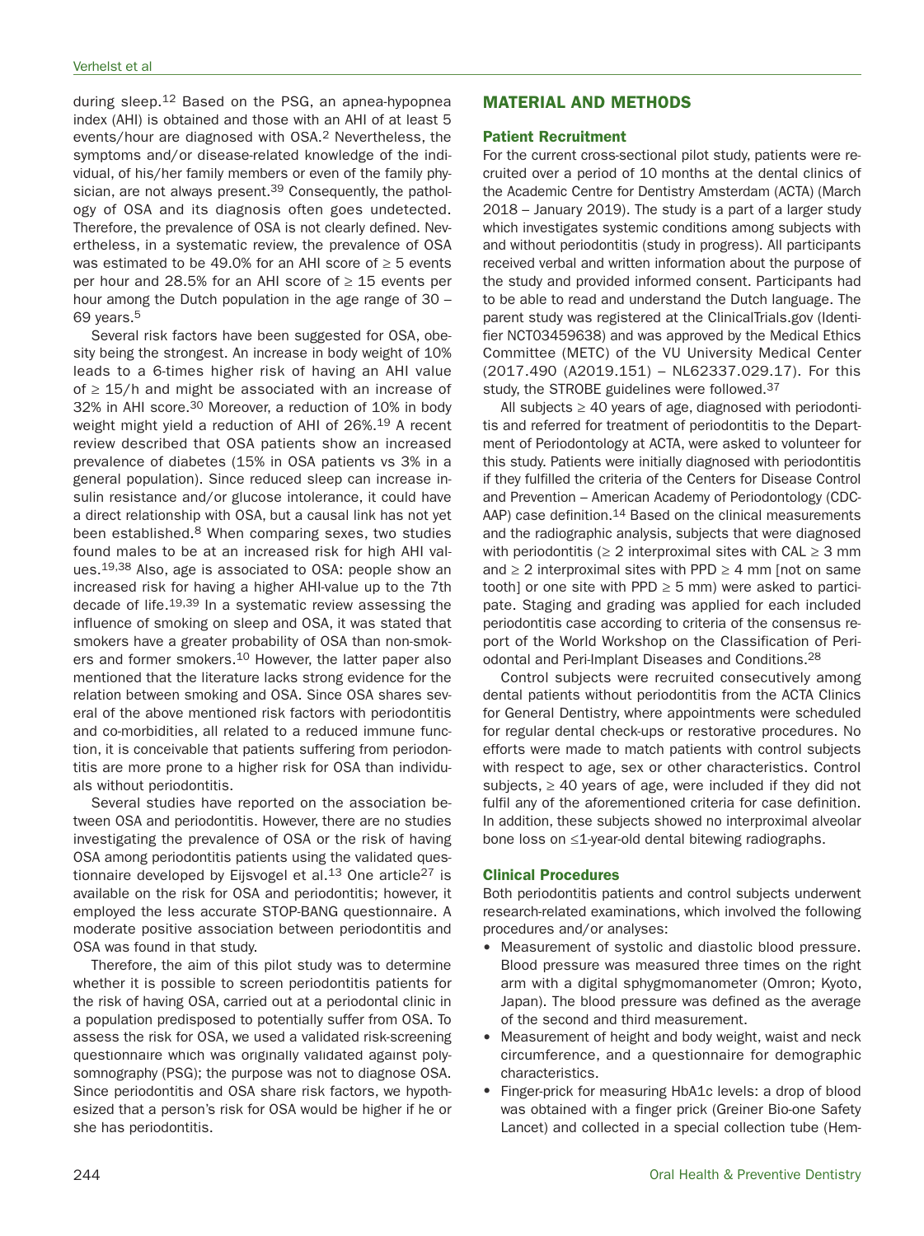during sleep.12 Based on the PSG, an apnea-hypopnea index (AHI) is obtained and those with an AHI of at least 5 events/hour are diagnosed with OSA.2 Nevertheless, the symptoms and/or disease-related knowledge of the individual, of his/her family members or even of the family physician, are not always present.<sup>39</sup> Consequently, the pathology of OSA and its diagnosis often goes undetected. Therefore, the prevalence of OSA is not clearly defined. Nevertheless, in a systematic review, the prevalence of OSA was estimated to be 49.0% for an AHI score of ≥ 5 events per hour and 28.5% for an AHI score of  $\geq$  15 events per hour among the Dutch population in the age range of 30 – 69 years.5

Several risk factors have been suggested for OSA, obesity being the strongest. An increase in body weight of 10% leads to a 6-times higher risk of having an AHI value of  $\geq$  15/h and might be associated with an increase of 32% in AHI score.30 Moreover, a reduction of 10% in body weight might yield a reduction of AHI of 26%.19 A recent review described that OSA patients show an increased prevalence of diabetes (15% in OSA patients vs 3% in a general population). Since reduced sleep can increase insulin resistance and/or glucose intolerance, it could have a direct relationship with OSA, but a causal link has not yet been established.<sup>8</sup> When comparing sexes, two studies found males to be at an increased risk for high AHI values.19,38 Also, age is associated to OSA: people show an increased risk for having a higher AHI-value up to the 7th decade of life.19,39 In a systematic review assessing the influence of smoking on sleep and OSA, it was stated that smokers have a greater probability of OSA than non-smokers and former smokers.<sup>10</sup> However, the latter paper also mentioned that the literature lacks strong evidence for the relation between smoking and OSA. Since OSA shares several of the above mentioned risk factors with periodontitis and co-morbidities, all related to a reduced immune function, it is conceivable that patients suffering from periodontitis are more prone to a higher risk for OSA than individuals without periodontitis.

Several studies have reported on the association between OSA and periodontitis. However, there are no studies investigating the prevalence of OSA or the risk of having OSA among periodontitis patients using the validated questionnaire developed by Eijsvogel et al. $13$  One article<sup>27</sup> is available on the risk for OSA and periodontitis; however, it employed the less accurate STOP-BANG questionnaire. A moderate positive association between periodontitis and OSA was found in that study.

Therefore, the aim of this pilot study was to determine whether it is possible to screen periodontitis patients for the risk of having OSA, carried out at a periodontal clinic in a population predisposed to potentially suffer from OSA. To assess the risk for OSA, we used a validated risk-screening questionnaire which was originally validated against polysomnography (PSG); the purpose was not to diagnose OSA. Since periodontitis and OSA share risk factors, we hypothesized that a person's risk for OSA would be higher if he or she has periodontitis.

# **MATERIAL AND METHODS**

### **Patient Recruitment**

For the current cross-sectional pilot study, patients were recruited over a period of 10 months at the dental clinics of the Academic Centre for Dentistry Amsterdam (ACTA) (March 2018 – January 2019). The study is a part of a larger study which investigates systemic conditions among subjects with and without periodontitis (study in progress). All participants received verbal and written information about the purpose of the study and provided informed consent. Participants had to be able to read and understand the Dutch language. The parent study was registered at the ClinicalTrials.gov (Identifier NCT03459638) and was approved by the Medical Ethics Committee (METC) of the VU University Medical Center (2017.490 (A2019.151) – NL62337.029.17). For this study, the STROBE guidelines were followed.37

All subjects  $\geq 40$  years of age, diagnosed with periodontitis and referred for treatment of periodontitis to the Department of Periodontology at ACTA, were asked to volunteer for this study. Patients were initially diagnosed with periodontitis if they fulfilled the criteria of the Centers for Disease Control and Prevention – American Academy of Periodontology (CDC-AAP) case definition.<sup>14</sup> Based on the clinical measurements and the radiographic analysis, subjects that were diagnosed with periodontitis ( $\geq 2$  interproximal sites with CAL  $\geq 3$  mm and  $\geq 2$  interproximal sites with PPD  $\geq 4$  mm [not on same tooth] or one site with PPD  $\geq$  5 mm) were asked to participate. Staging and grading was applied for each included periodontitis case according to criteria of the consensus report of the World Workshop on the Classification of Periodontal and Peri-Implant Diseases and Conditions.28

Control subjects were recruited consecutively among dental patients without periodontitis from the ACTA Clinics for General Dentistry, where appointments were scheduled for regular dental check-ups or restorative procedures. No efforts were made to match patients with control subjects with respect to age, sex or other characteristics. Control subjects,  $\geq$  40 years of age, were included if they did not fulfil any of the aforementioned criteria for case definition. In addition, these subjects showed no interproximal alveolar bone loss on ≤1-year-old dental bitewing radiographs.

## **Clinical Procedures**

Both periodontitis patients and control subjects underwent research-related examinations, which involved the following procedures and/or analyses:

- Measurement of systolic and diastolic blood pressure. Blood pressure was measured three times on the right arm with a digital sphygmomanometer (Omron; Kyoto, Japan). The blood pressure was defined as the average of the second and third measurement.
- Measurement of height and body weight, waist and neck circumference, and a questionnaire for demographic characteristics.
- Finger-prick for measuring HbA1c levels: a drop of blood was obtained with a finger prick (Greiner Bio-one Safety Lancet) and collected in a special collection tube (Hem-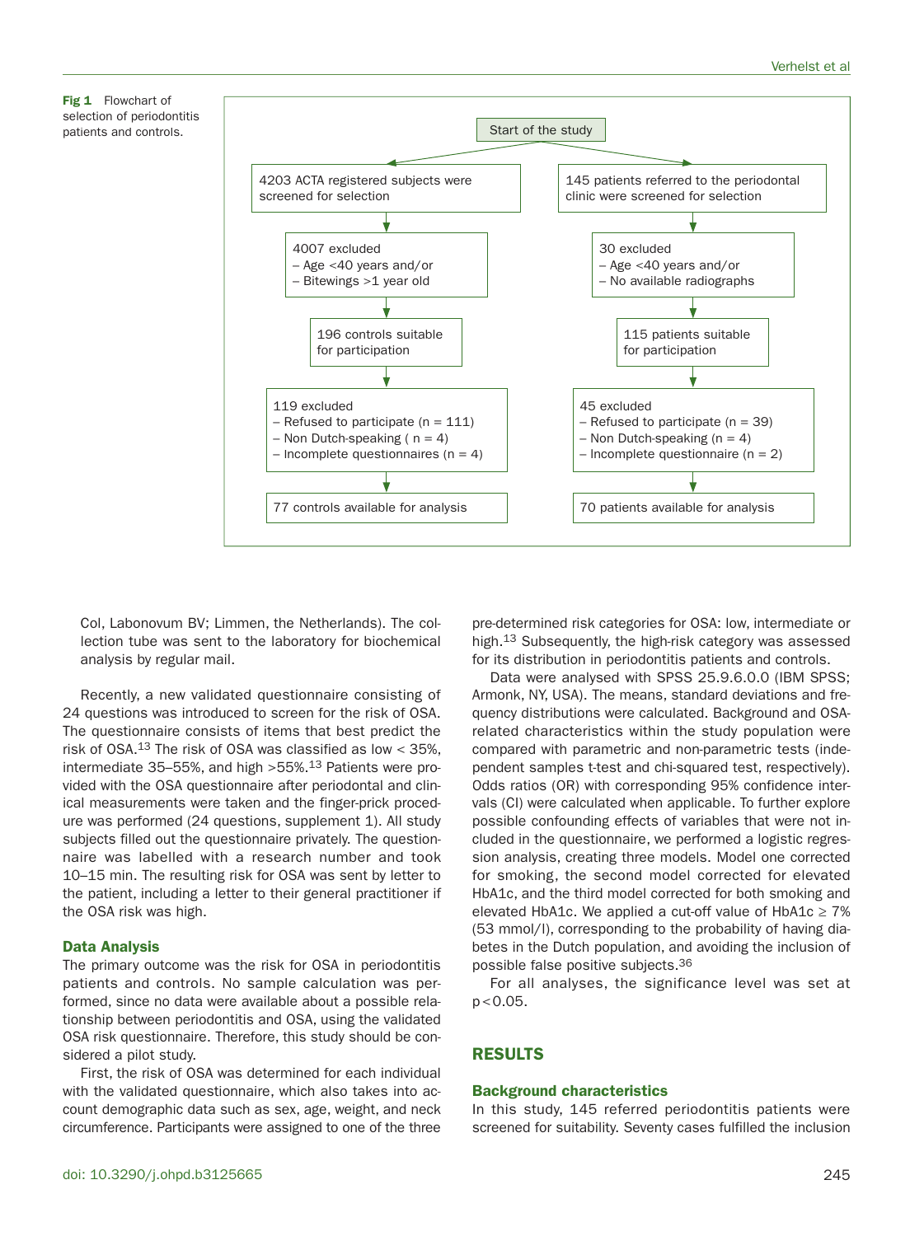**Fig 1** Flowchart of selection of periodontitis patients and controls.



Col, Labonovum BV; Limmen, the Netherlands). The collection tube was sent to the laboratory for biochemical analysis by regular mail.

Recently, a new validated questionnaire consisting of 24 questions was introduced to screen for the risk of OSA. The questionnaire consists of items that best predict the risk of OSA.13 The risk of OSA was classified as low < 35%, intermediate 35–55%, and high >55%.13 Patients were provided with the OSA questionnaire after periodontal and clinical measurements were taken and the finger-prick procedure was performed (24 questions, supplement 1). All study subjects filled out the questionnaire privately. The questionnaire was labelled with a research number and took 10–15 min. The resulting risk for OSA was sent by letter to the patient, including a letter to their general practitioner if the OSA risk was high.

## **Data Analysis**

The primary outcome was the risk for OSA in periodontitis patients and controls. No sample calculation was performed, since no data were available about a possible relationship between periodontitis and OSA, using the validated OSA risk questionnaire. Therefore, this study should be considered a pilot study.

First, the risk of OSA was determined for each individual with the validated questionnaire, which also takes into account demographic data such as sex, age, weight, and neck circumference. Participants were assigned to one of the three

pre-determined risk categories for OSA: low, intermediate or high.13 Subsequently, the high-risk category was assessed for its distribution in periodontitis patients and controls.

Data were analysed with SPSS 25.9.6.0.0 (IBM SPSS; Armonk, NY, USA). The means, standard deviations and frequency distributions were calculated. Background and OSArelated characteristics within the study population were compared with parametric and non-parametric tests (independent samples t-test and chi-squared test, respectively). Odds ratios (OR) with corresponding 95% confidence intervals (CI) were calculated when applicable. To further explore possible confounding effects of variables that were not included in the questionnaire, we performed a logistic regression analysis, creating three models. Model one corrected for smoking, the second model corrected for elevated HbA1c, and the third model corrected for both smoking and elevated HbA1c. We applied a cut-off value of HbA1c  $\geq 7\%$ (53 mmol/l), corresponding to the probability of having diabetes in the Dutch population, and avoiding the inclusion of possible false positive subjects.36

For all analyses, the significance level was set at  $p < 0.05$ .

# **RESULTS**

## **Background characteristics**

In this study, 145 referred periodontitis patients were screened for suitability. Seventy cases fulfilled the inclusion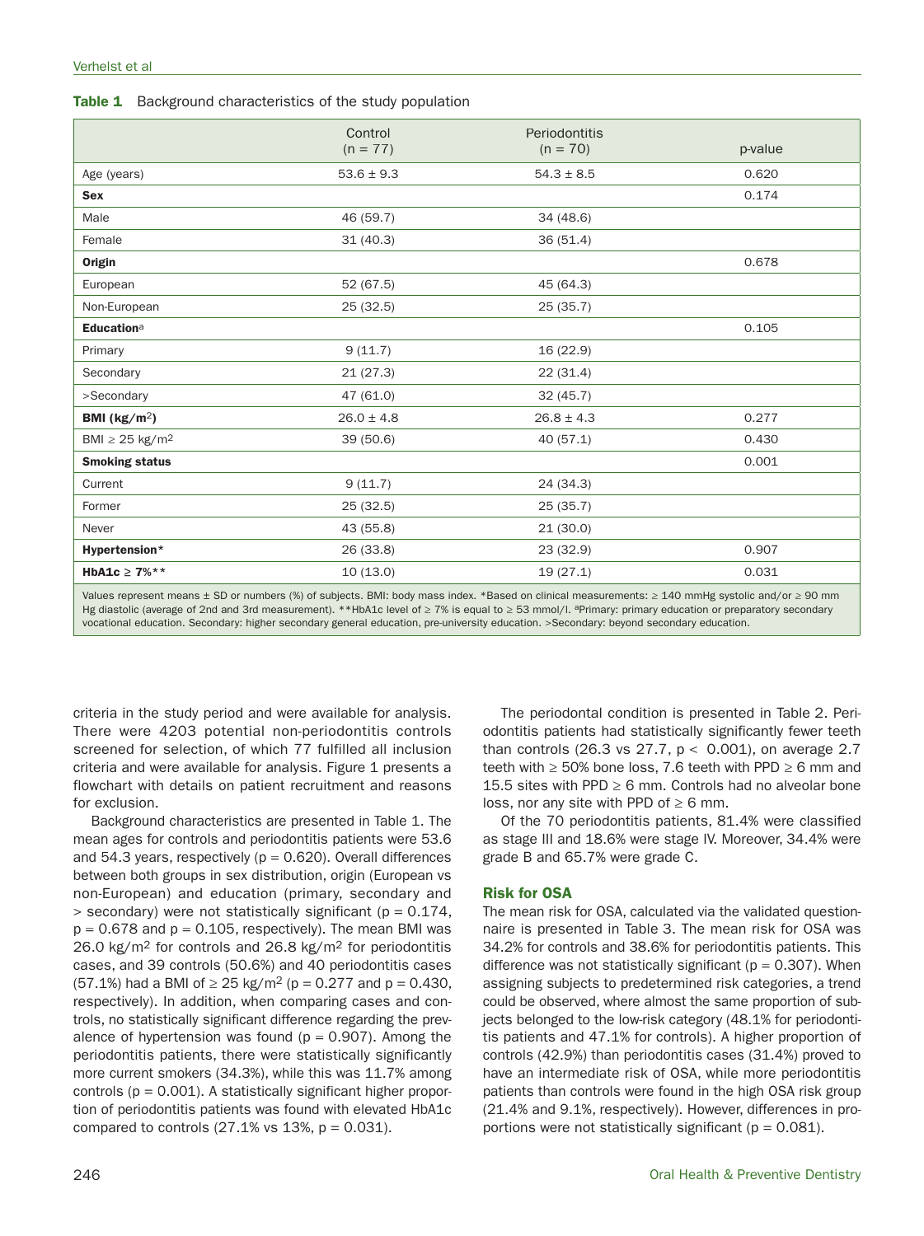Table 1 Background characteristics of the study population

|                                 | Control        | <b>Periodontitis</b> |         |
|---------------------------------|----------------|----------------------|---------|
|                                 | $(n = 77)$     | $(n = 70)$           | p-value |
| Age (years)                     | $53.6 \pm 9.3$ | $54.3 \pm 8.5$       | 0.620   |
| <b>Sex</b>                      |                |                      | 0.174   |
| Male                            | 46 (59.7)      | 34 (48.6)            |         |
| Female                          | 31(40.3)       | 36(51.4)             |         |
| <b>Origin</b>                   |                |                      | 0.678   |
| European                        | 52 (67.5)      | 45 (64.3)            |         |
| Non-European                    | 25 (32.5)      | 25(35.7)             |         |
| Educationa                      |                |                      | 0.105   |
| Primary                         | 9(11.7)        | 16 (22.9)            |         |
| Secondary                       | 21(27.3)       | 22(31.4)             |         |
| >Secondary                      | 47 (61.0)      | 32(45.7)             |         |
| BMI ( $\text{kg/m}^2$ )         | $26.0 \pm 4.8$ | $26.8 \pm 4.3$       | 0.277   |
| BMI $\geq$ 25 kg/m <sup>2</sup> | 39 (50.6)      | 40 (57.1)            | 0.430   |
| <b>Smoking status</b>           |                |                      | 0.001   |
| Current                         | 9(11.7)        | 24 (34.3)            |         |
| Former                          | 25(32.5)       | 25(35.7)             |         |
| Never                           | 43 (55.8)      | 21(30.0)             |         |
| Hypertension*                   | 26 (33.8)      | 23 (32.9)            | 0.907   |
| HbA1c $\geq 7\%**$              | 10(13.0)       | 19(27.1)             | 0.031   |
|                                 |                |                      |         |

Values represent means ± SD or numbers (%) of subjects. BMI: body mass index. \*Based on clinical measurements: ≥ 140 mmHg systolic and/or ≥ 90 mm Hg diastolic (average of 2nd and 3rd measurement). \*\*HbA1c level of ≥ 7% is equal to ≥ 53 mmol/l. <sup>a</sup>Primary: primary education or preparatory secondary vocational education. Secondary: higher secondary general education, pre-university education. >Secondary: beyond secondary education.

criteria in the study period and were available for analysis. There were 4203 potential non-periodontitis controls screened for selection, of which 77 fulfilled all inclusion criteria and were available for analysis. Figure 1 presents a flowchart with details on patient recruitment and reasons for exclusion.

Background characteristics are presented in Table 1. The mean ages for controls and periodontitis patients were 53.6 and 54.3 years, respectively ( $p = 0.620$ ). Overall differences between both groups in sex distribution, origin (European vs non-European) and education (primary, secondary and  $>$  secondary) were not statistically significant ( $p = 0.174$ ,  $p = 0.678$  and  $p = 0.105$ , respectively). The mean BMI was 26.0 kg/m<sup>2</sup> for controls and 26.8 kg/m<sup>2</sup> for periodontitis cases, and 39 controls (50.6%) and 40 periodontitis cases  $(57.1\%)$  had a BMI of  $\geq 25$  kg/m<sup>2</sup> (p = 0.277 and p = 0.430, respectively). In addition, when comparing cases and controls, no statistically significant difference regarding the prevalence of hypertension was found ( $p = 0.907$ ). Among the periodontitis patients, there were statistically significantly more current smokers (34.3%), while this was 11.7% among controls  $(p = 0.001)$ . A statistically significant higher proportion of periodontitis patients was found with elevated HbA1c compared to controls  $(27.1\% \text{ vs } 13\%, \text{ p} = 0.031).$ 

The periodontal condition is presented in Table 2. Periodontitis patients had statistically significantly fewer teeth than controls (26.3 vs 27.7,  $p < 0.001$ ), on average 2.7 teeth with  $\geq 50\%$  bone loss, 7.6 teeth with PPD  $\geq 6$  mm and 15.5 sites with PPD  $\geq 6$  mm. Controls had no alveolar bone loss, nor any site with PPD of  $\geq 6$  mm.

Of the 70 periodontitis patients, 81.4% were classified as stage III and 18.6% were stage IV. Moreover, 34.4% were grade B and 65.7% were grade C.

#### **Risk for OSA**

The mean risk for OSA, calculated via the validated questionnaire is presented in Table 3. The mean risk for OSA was 34.2% for controls and 38.6% for periodontitis patients. This difference was not statistically significant ( $p = 0.307$ ). When assigning subjects to predetermined risk categories, a trend could be observed, where almost the same proportion of subjects belonged to the low-risk category (48.1% for periodontitis patients and 47.1% for controls). A higher proportion of controls (42.9%) than periodontitis cases (31.4%) proved to have an intermediate risk of OSA, while more periodontitis patients than controls were found in the high OSA risk group (21.4% and 9.1%, respectively). However, differences in proportions were not statistically significant ( $p = 0.081$ ).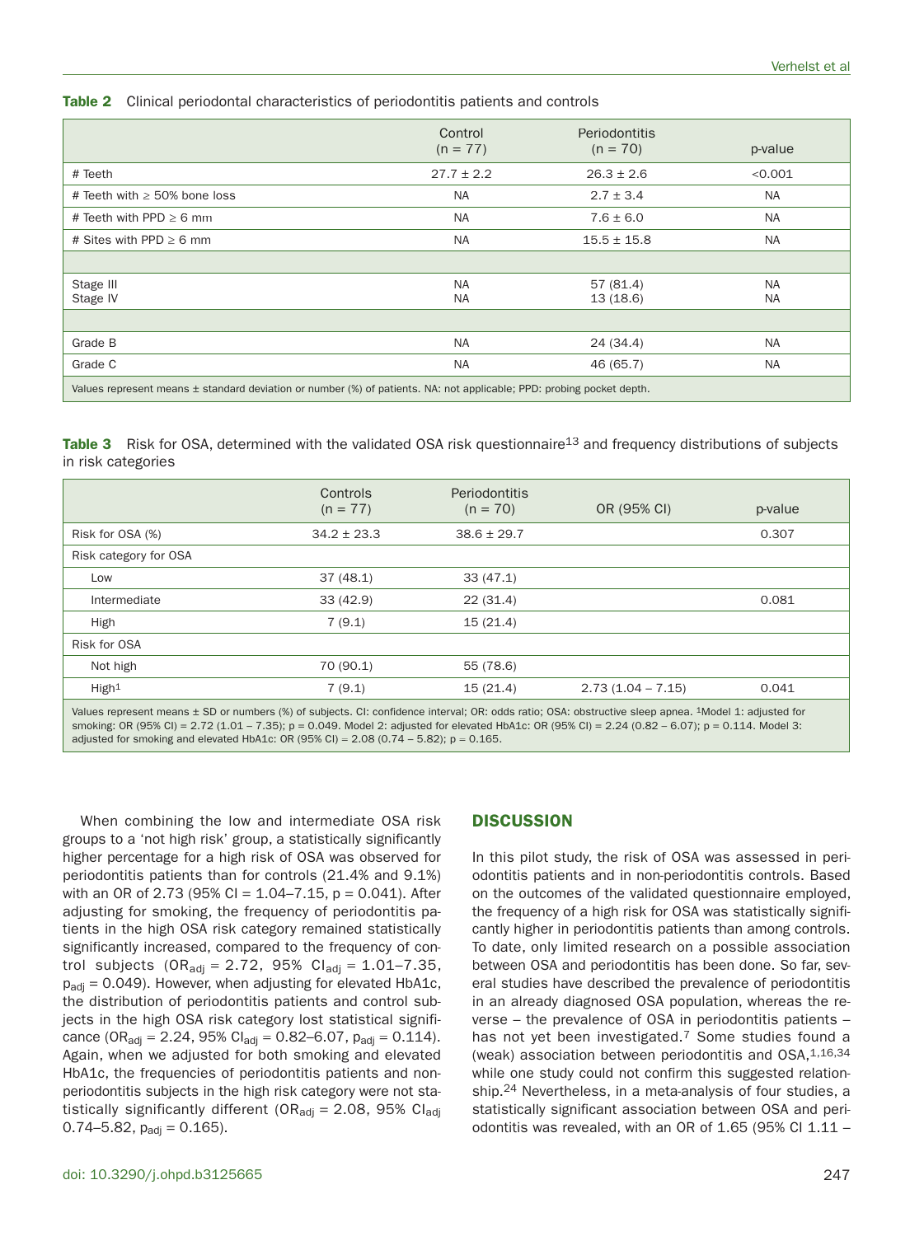**Table 2** Clinical periodontal characteristics of periodontitis patients and controls

|                                                                                                                       | Control<br>$(n = 77)$ | Periodontitis<br>$(n = 70)$ | p-value   |  |  |  |  |
|-----------------------------------------------------------------------------------------------------------------------|-----------------------|-----------------------------|-----------|--|--|--|--|
| # Teeth                                                                                                               | $27.7 \pm 2.2$        | $26.3 \pm 2.6$              | < 0.001   |  |  |  |  |
| # Teeth with $\geq$ 50% bone loss                                                                                     | <b>NA</b>             | $2.7 \pm 3.4$               | NA        |  |  |  |  |
| # Teeth with PPD $\geq 6$ mm                                                                                          | <b>NA</b>             | $7.6 \pm 6.0$               | <b>NA</b> |  |  |  |  |
| # Sites with PPD $\geq 6$ mm                                                                                          | <b>NA</b>             | $15.5 \pm 15.8$             | NA.       |  |  |  |  |
|                                                                                                                       |                       |                             |           |  |  |  |  |
| Stage III<br>Stage IV                                                                                                 | <b>NA</b><br>NA       | 57(81.4)<br>13(18.6)        | NA.<br>NA |  |  |  |  |
|                                                                                                                       |                       |                             |           |  |  |  |  |
| Grade B                                                                                                               | <b>NA</b>             | 24 (34.4)                   | NA.       |  |  |  |  |
| Grade C                                                                                                               | NA                    | 46 (65.7)                   | NA.       |  |  |  |  |
| Values represent means ± standard deviation or number (%) of patients. NA: not applicable; PPD: probing pocket depth. |                       |                             |           |  |  |  |  |

**Table 3** Risk for OSA, determined with the validated OSA risk questionnaire<sup>13</sup> and frequency distributions of subjects in risk categories

|                       | Controls<br>$(n = 77)$ | <b>Periodontitis</b><br>$(n = 70)$ | OR (95% CI)         | p-value |
|-----------------------|------------------------|------------------------------------|---------------------|---------|
| Risk for OSA (%)      | $34.2 \pm 23.3$        | $38.6 \pm 29.7$                    |                     | 0.307   |
| Risk category for OSA |                        |                                    |                     |         |
| Low                   | 37(48.1)               | 33(47.1)                           |                     |         |
| Intermediate          | 33(42.9)               | 22(31.4)                           |                     | 0.081   |
| High                  | 7(9.1)                 | 15(21.4)                           |                     |         |
| Risk for OSA          |                        |                                    |                     |         |
| Not high              | 70 (90.1)              | 55 (78.6)                          |                     |         |
| High <sup>1</sup>     | 7(9.1)                 | 15(21.4)                           | $2.73(1.04 - 7.15)$ | 0.041   |
|                       |                        |                                    |                     |         |

Values represent means ± SD or numbers (%) of subjects. CI: confidence interval; OR: odds ratio; OSA: obstructive sleep apnea. <sup>1</sup>Model 1: adjusted for smoking: OR (95% CI) = 2.72 (1.01 – 7.35); p = 0.049. Model 2: adjusted for elevated HbA1c: OR (95% CI) = 2.24 (0.82 – 6.07); p = 0.114. Model 3: adjusted for smoking and elevated HbA1c: OR (95% Cl) =  $2.08$  (0.74 – 5.82); p = 0.165.

When combining the low and intermediate OSA risk groups to a 'not high risk' group, a statistically significantly higher percentage for a high risk of OSA was observed for periodontitis patients than for controls (21.4% and 9.1%) with an OR of 2.73 (95% CI =  $1.04 - 7.15$ , p = 0.041). After adjusting for smoking, the frequency of periodontitis patients in the high OSA risk category remained statistically significantly increased, compared to the frequency of control subjects (OR<sub>adj</sub> = 2.72, 95% CI<sub>adj</sub> = 1.01–7.35,  $p_{\text{adi}} = 0.049$ ). However, when adjusting for elevated HbA1c, the distribution of periodontitis patients and control subjects in the high OSA risk category lost statistical significance (OR<sub>adj</sub> = 2.24, 95% Cl<sub>adj</sub> = 0.82–6.07, p<sub>adj</sub> = 0.114). Again, when we adjusted for both smoking and elevated HbA1c, the frequencies of periodontitis patients and nonperiodontitis subjects in the high risk category were not statistically significantly different (OR<sub>adi</sub> = 2.08, 95% Cl<sub>adi</sub>  $0.74 - 5.82$ ,  $p_{\text{adi}} = 0.165$ ).

## **DISCUSSION**

In this pilot study, the risk of OSA was assessed in periodontitis patients and in non-periodontitis controls. Based on the outcomes of the validated questionnaire employed, the frequency of a high risk for OSA was statistically significantly higher in periodontitis patients than among controls. To date, only limited research on a possible association between OSA and periodontitis has been done. So far, several studies have described the prevalence of periodontitis in an already diagnosed OSA population, whereas the reverse – the prevalence of OSA in periodontitis patients – has not yet been investigated.<sup>7</sup> Some studies found a (weak) association between periodontitis and  $OSA$ ,  $1,16,34$ while one study could not confirm this suggested relationship.24 Nevertheless, in a meta-analysis of four studies, a statistically significant association between OSA and periodontitis was revealed, with an OR of 1.65 (95% CI 1.11 –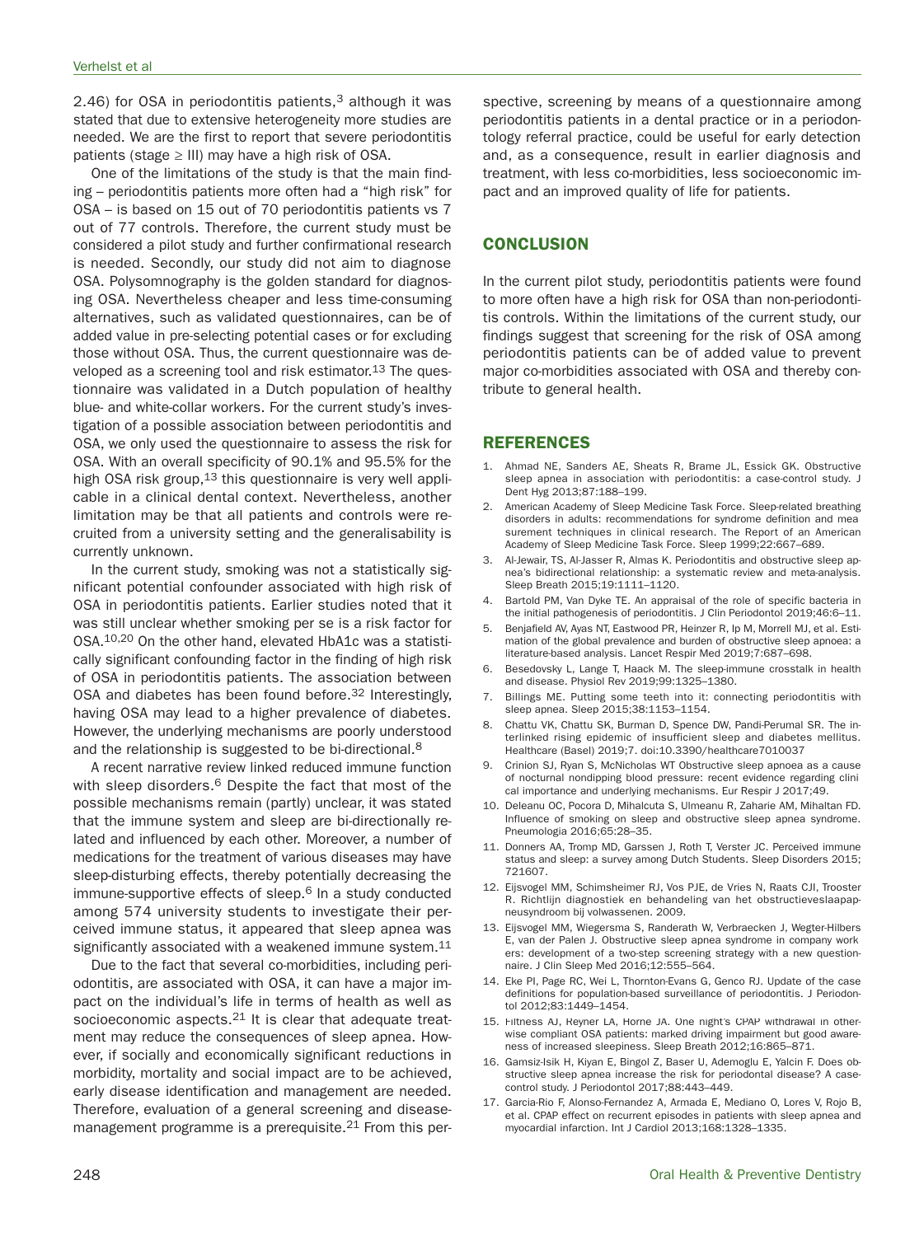2.46) for OSA in periodontitis patients,<sup>3</sup> although it was stated that due to extensive heterogeneity more studies are needed. We are the first to report that severe periodontitis patients (stage  $\geq$  III) may have a high risk of OSA.

One of the limitations of the study is that the main finding – periodontitis patients more often had a "high risk" for OSA – is based on 15 out of 70 periodontitis patients vs 7 out of 77 controls. Therefore, the current study must be considered a pilot study and further confirmational research is needed. Secondly, our study did not aim to diagnose OSA. Polysomnography is the golden standard for diagnosing OSA. Nevertheless cheaper and less time-consuming alternatives, such as validated questionnaires, can be of added value in pre-selecting potential cases or for excluding those without OSA. Thus, the current questionnaire was developed as a screening tool and risk estimator.<sup>13</sup> The questionnaire was validated in a Dutch population of healthy blue- and white-collar workers. For the current study's investigation of a possible association between periodontitis and OSA, we only used the questionnaire to assess the risk for OSA. With an overall specificity of 90.1% and 95.5% for the high OSA risk group, <sup>13</sup> this questionnaire is very well applicable in a clinical dental context. Nevertheless, another limitation may be that all patients and controls were recruited from a university setting and the generalisability is currently unknown.

In the current study, smoking was not a statistically significant potential confounder associated with high risk of OSA in periodontitis patients. Earlier studies noted that it was still unclear whether smoking per se is a risk factor for OSA.10,20 On the other hand, elevated HbA1c was a statistically significant confounding factor in the finding of high risk of OSA in periodontitis patients. The association between OSA and diabetes has been found before.<sup>32</sup> Interestingly, having OSA may lead to a higher prevalence of diabetes. However, the underlying mechanisms are poorly understood and the relationship is suggested to be bi-directional.8

A recent narrative review linked reduced immune function with sleep disorders.<sup>6</sup> Despite the fact that most of the possible mechanisms remain (partly) unclear, it was stated that the immune system and sleep are bi-directionally related and influenced by each other. Moreover, a number of medications for the treatment of various diseases may have sleep-disturbing effects, thereby potentially decreasing the immune-supportive effects of sleep. $6$  In a study conducted among 574 university students to investigate their perceived immune status, it appeared that sleep apnea was significantly associated with a weakened immune system.<sup>11</sup>

Due to the fact that several co-morbidities, including periodontitis, are associated with OSA, it can have a major impact on the individual's life in terms of health as well as socioeconomic aspects.<sup>21</sup> It is clear that adequate treatment may reduce the consequences of sleep apnea. However, if socially and economically significant reductions in morbidity, mortality and social impact are to be achieved, early disease identification and management are needed. Therefore, evaluation of a general screening and diseasemanagement programme is a prerequisite.<sup>21</sup> From this per-

spective, screening by means of a questionnaire among periodontitis patients in a dental practice or in a periodontology referral practice, could be useful for early detection and, as a consequence, result in earlier diagnosis and treatment, with less co-morbidities, less socioeconomic impact and an improved quality of life for patients.

## **CONCLUSION**

In the current pilot study, periodontitis patients were found to more often have a high risk for OSA than non-periodontitis controls. Within the limitations of the current study, our findings suggest that screening for the risk of OSA among periodontitis patients can be of added value to prevent major co-morbidities associated with OSA and thereby contribute to general health.

#### **REFERENCES**

- 1. Ahmad NE, Sanders AE, Sheats R, Brame JL, Essick GK. Obstructive sleep apnea in association with periodontitis: a case-control study. J Dent Hyg 2013;87:188–199.
- 2. American Academy of Sleep Medicine Task Force. Sleep-related breathing disorders in adults: recommendations for syndrome definition and measurement techniques in clinical research. The Report of an American Academy of Sleep Medicine Task Force. Sleep 1999;22:667–689.
- Al-Jewair, TS, Al-Jasser R, Almas K. Periodontitis and obstructive sleep apnea's bidirectional relationship: a systematic review and meta-analysis. Sleep Breath 2015;19:1111–1120.
- Bartold PM, Van Dyke TE. An appraisal of the role of specific bacteria in the initial pathogenesis of periodontitis. J Clin Periodontol 2019;46:6–11.
- 5. Benjafield AV, Ayas NT, Eastwood PR, Heinzer R, Ip M, Morrell MJ, et al. Estimation of the global prevalence and burden of obstructive sleep apnoea: a literature-based analysis. Lancet Respir Med 2019;7:687–698.
- 6. Besedovsky L, Lange T, Haack M. The sleep-immune crosstalk in health and disease. Physiol Rev 2019;99:1325–1380.
- 7. Billings ME. Putting some teeth into it: connecting periodontitis with sleep apnea. Sleep 2015;38:1153–1154.
- 8. Chattu VK, Chattu SK, Burman D, Spence DW, Pandi-Perumal SR. The interlinked rising epidemic of insufficient sleep and diabetes mellitus. Healthcare (Basel) 2019;7. doi:10.3390/healthcare7010037
- Crinion SJ, Ryan S, McNicholas WT Obstructive sleep apnoea as a cause of nocturnal nondipping blood pressure: recent evidence regarding clinical importance and underlying mechanisms. Eur Respir J 2017;49.
- 10. Deleanu OC, Pocora D, Mihalcuta S, Ulmeanu R, Zaharie AM, Mihaltan FD. Influence of smoking on sleep and obstructive sleep apnea syndrome. Pneumologia 2016;65:28–35.
- 11. Donners AA, Tromp MD, Garssen J, Roth T, Verster JC. Perceived immune status and sleep: a survey among Dutch Students. Sleep Disorders 2015; 721607.
- 12. Eijsvogel MM, Schimsheimer RJ, Vos PJE, de Vries N, Raats CJI, Trooster R. Richtlijn diagnostiek en behandeling van het obstructieveslaapapneusyndroom bij volwassenen. 2009.
- 13. Eijsvogel MM, Wiegersma S, Randerath W, Verbraecken J, Wegter-Hilbers E, van der Palen J. Obstructive sleep apnea syndrome in company workers: development of a two-step screening strategy with a new questionnaire. J Clin Sleep Med 2016;12:555–564.
- 14. Eke PI, Page RC, Wei L, Thornton-Evans G, Genco RJ. Update of the case definitions for population-based surveillance of periodontitis. J Periodontol 2012;83:1449–1454.
- 15. Filtness AJ, Reyner LA, Horne JA. One night's CPAP withdrawal in otherwise compliant OSA patients: marked driving impairment but good awareness of increased sleepiness. Sleep Breath 2012;16:865–871.
- 16. Gamsiz-Isik H, Kiyan E, Bingol Z, Baser U, Ademoglu E, Yalcin F. Does obstructive sleep apnea increase the risk for periodontal disease? A casecontrol study. J Periodontol 2017;88:443–449.
- 17. Garcia-Rio F, Alonso-Fernandez A, Armada E, Mediano O, Lores V, Rojo B, et al. CPAP effect on recurrent episodes in patients with sleep apnea and myocardial infarction. Int J Cardiol 2013;168:1328–1335.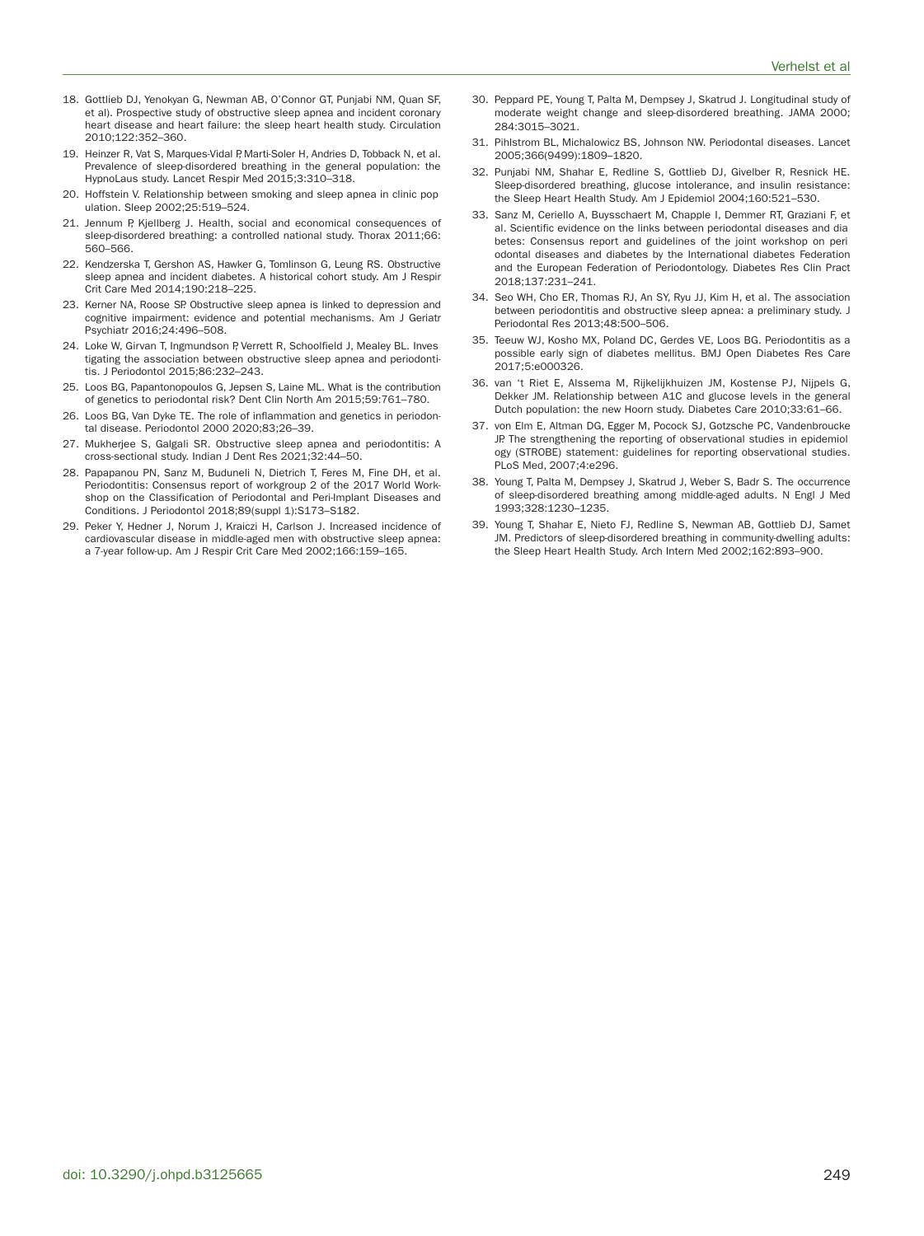- 18. Gottlieb DJ, Yenokyan G, Newman AB, O'Connor GT, Punjabi NM, Quan SF, et al). Prospective study of obstructive sleep apnea and incident coronary heart disease and heart failure: the sleep heart health study. Circulation 2010;122:352–360.
- 19. Heinzer R, Vat S, Marques-Vidal P, Marti-Soler H, Andries D, Tobback N, et al. Prevalence of sleep-disordered breathing in the general population: the HypnoLaus study. Lancet Respir Med 2015;3:310–318.
- 20. Hoffstein V. Relationship between smoking and sleep apnea in clinic population. Sleep 2002;25:519–524.
- 21. Jennum P, Kjellberg J. Health, social and economical consequences of sleep-disordered breathing: a controlled national study. Thorax 2011;66: 560–566.
- 22. Kendzerska T, Gershon AS, Hawker G, Tomlinson G, Leung RS. Obstructive sleep apnea and incident diabetes. A historical cohort study. Am J Respir Crit Care Med 2014;190:218–225.
- 23. Kerner NA, Roose SP. Obstructive sleep apnea is linked to depression and cognitive impairment: evidence and potential mechanisms. Am J Geriatr Psychiatr 2016;24:496–508.
- 24. Loke W, Girvan T, Ingmundson P, Verrett R, Schoolfield J, Mealey BL. Investigating the association between obstructive sleep apnea and periodontitis. J Periodontol 2015;86:232–243.
- 25. Loos BG, Papantonopoulos G, Jepsen S, Laine ML. What is the contribution of genetics to periodontal risk? Dent Clin North Am 2015;59:761–780.
- 26. Loos BG, Van Dyke TE. The role of inflammation and genetics in periodontal disease. Periodontol 2000 2020;83;26–39.
- 27. Mukherjee S, Galgali SR. Obstructive sleep apnea and periodontitis: A cross-sectional study. Indian J Dent Res 2021;32:44–50.
- 28. Papapanou PN, Sanz M, Buduneli N, Dietrich T, Feres M, Fine DH, et al. Periodontitis: Consensus report of workgroup 2 of the 2017 World Workshop on the Classification of Periodontal and Peri-Implant Diseases and Conditions. J Periodontol 2018;89(suppl 1):S173–S182.
- 29. Peker Y, Hedner J, Norum J, Kraiczi H, Carlson J. Increased incidence of cardiovascular disease in middle-aged men with obstructive sleep apnea: a 7-year follow-up. Am J Respir Crit Care Med 2002;166:159–165.
- 30. Peppard PE, Young T, Palta M, Dempsey J, Skatrud J. Longitudinal study of moderate weight change and sleep-disordered breathing. JAMA 2000; 284:3015–3021.
- 31. Pihlstrom BL, Michalowicz BS, Johnson NW. Periodontal diseases. Lancet 2005;366(9499):1809–1820.
- 32. Punjabi NM, Shahar E, Redline S, Gottlieb DJ, Givelber R, Resnick HE. Sleep-disordered breathing, glucose intolerance, and insulin resistance: the Sleep Heart Health Study. Am J Epidemiol 2004;160:521–530.
- 33. Sanz M, Ceriello A, Buysschaert M, Chapple I, Demmer RT, Graziani F, et al. Scientific evidence on the links between periodontal diseases and diabetes: Consensus report and guidelines of the joint workshop on periodontal diseases and diabetes by the International diabetes Federation and the European Federation of Periodontology. Diabetes Res Clin Pract 2018;137:231–241.
- 34. Seo WH, Cho ER, Thomas RJ, An SY, Ryu JJ, Kim H, et al. The association between periodontitis and obstructive sleep apnea: a preliminary study. J Periodontal Res 2013;48:500–506.
- 35. Teeuw WJ, Kosho MX, Poland DC, Gerdes VE, Loos BG. Periodontitis as a possible early sign of diabetes mellitus. BMJ Open Diabetes Res Care 2017;5:e000326.
- 36. van 't Riet E, Alssema M, Rijkelijkhuizen JM, Kostense PJ, Nijpels G, Dekker JM. Relationship between A1C and glucose levels in the general Dutch population: the new Hoorn study. Diabetes Care 2010;33:61–66.
- 37. von Elm E, Altman DG, Egger M, Pocock SJ, Gotzsche PC, Vandenbroucke JP. The strengthening the reporting of observational studies in epidemiology (STROBE) statement: guidelines for reporting observational studies. PLoS Med, 2007;4:e296.
- 38. Young T, Palta M, Dempsey J, Skatrud J, Weber S, Badr S. The occurrence of sleep-disordered breathing among middle-aged adults. N Engl J Med 1993;328:1230–1235.
- 39. Young T, Shahar E, Nieto FJ, Redline S, Newman AB, Gottlieb DJ, Samet JM. Predictors of sleep-disordered breathing in community-dwelling adults: the Sleep Heart Health Study. Arch Intern Med 2002;162:893–900.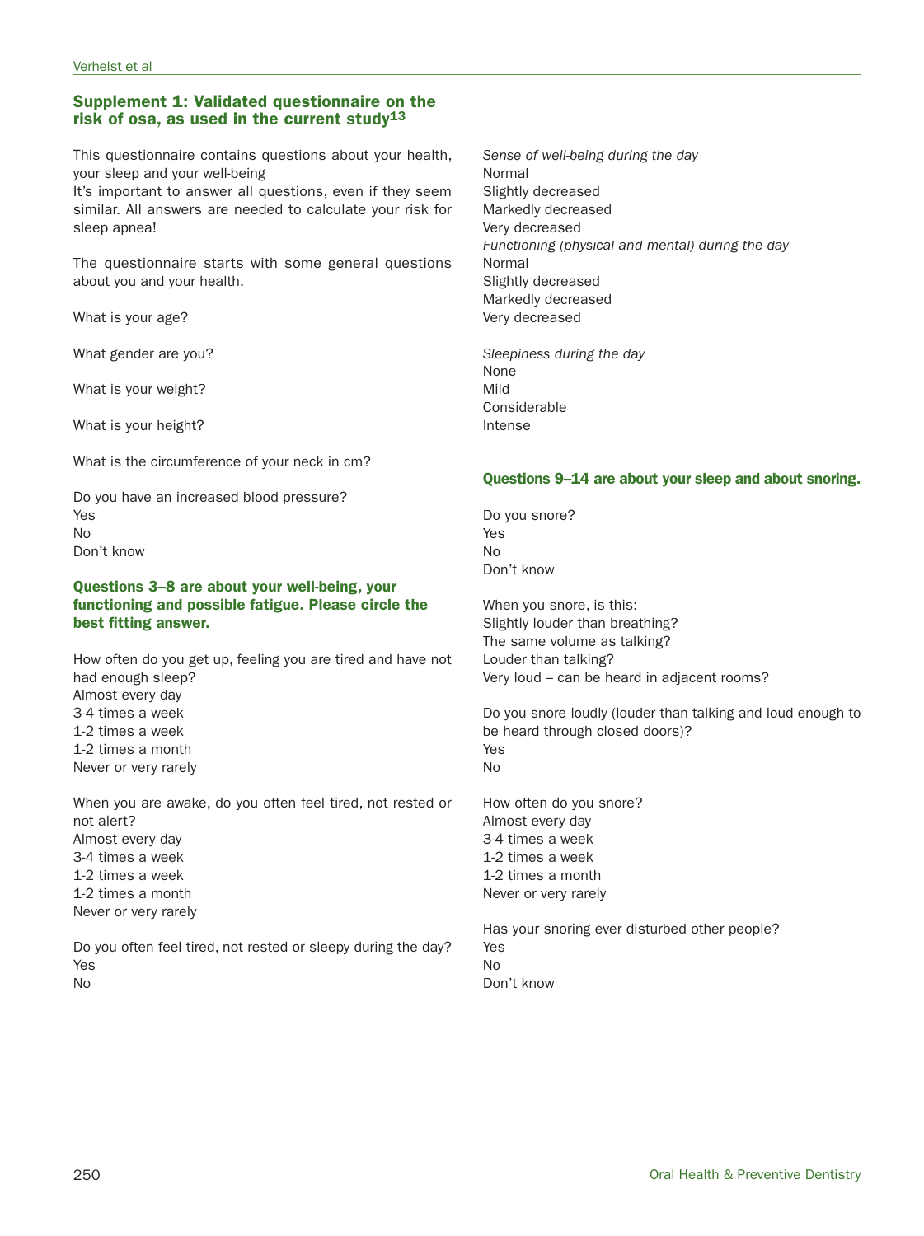# **Supplement 1: Validated questionnaire on the risk of osa, as used in the current study13**

This questionnaire contains questions about your health, your sleep and your well-being

It's important to answer all questions, even if they seem similar. All answers are needed to calculate your risk for sleep apnea!

The questionnaire starts with some general questions about you and your health.

What is your age?

What gender are you?

What is your weight?

What is your height?

What is the circumference of your neck in cm?

Do you have an increased blood pressure? Yes No Don't know

# **Questions 3–8 are about your well-being, your functioning and possible fatigue. Please circle the best fitting answer.**

How often do you get up, feeling you are tired and have not had enough sleep? Almost every day 3-4 times a week 1-2 times a week 1-2 times a month Never or very rarely

When you are awake, do you often feel tired, not rested or not alert? Almost every day 3-4 times a week 1-2 times a week 1-2 times a month Never or very rarely

Do you often feel tired, not rested or sleepy during the day? Yes No

Sense of well-being during the day Normal Slightly decreased Markedly decreased Very decreased Functioning (physical and mental) during the day Normal Slightly decreased Markedly decreased Very decreased

Sleepiness during the day None Mild Considerable Intense

# **Questions 9–14 are about your sleep and about snoring.**

Do you snore? Yes No Don't know

When you snore, is this: Slightly louder than breathing? The same volume as talking? Louder than talking? Very loud – can be heard in adjacent rooms?

Do you snore loudly (louder than talking and loud enough to be heard through closed doors)? Yes No

How often do you snore? Almost every day 3-4 times a week 1-2 times a week 1-2 times a month Never or very rarely

Has your snoring ever disturbed other people? Yes No Don't know